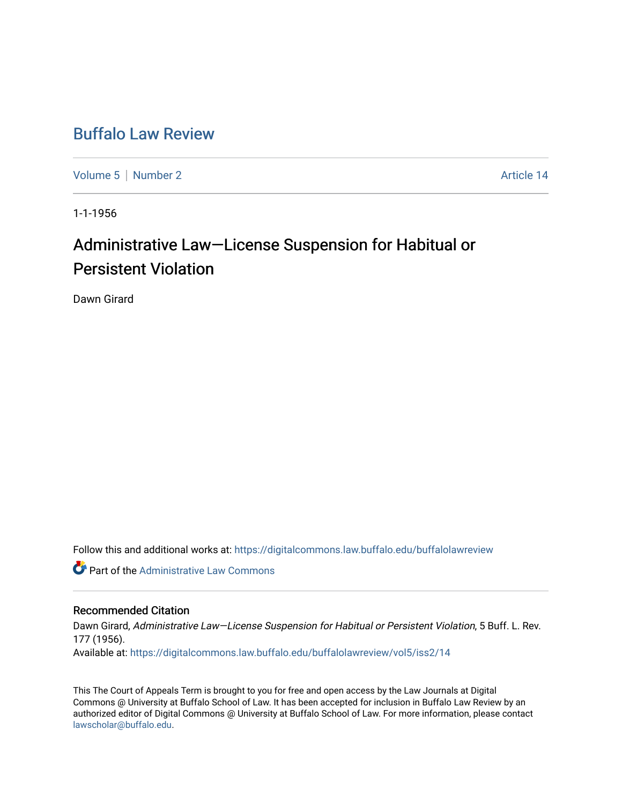## [Buffalo Law Review](https://digitalcommons.law.buffalo.edu/buffalolawreview)

[Volume 5](https://digitalcommons.law.buffalo.edu/buffalolawreview/vol5) | [Number 2](https://digitalcommons.law.buffalo.edu/buffalolawreview/vol5/iss2) Article 14

1-1-1956

## Administrative Law—License Suspension for Habitual or Persistent Violation

Dawn Girard

Follow this and additional works at: [https://digitalcommons.law.buffalo.edu/buffalolawreview](https://digitalcommons.law.buffalo.edu/buffalolawreview?utm_source=digitalcommons.law.buffalo.edu%2Fbuffalolawreview%2Fvol5%2Fiss2%2F14&utm_medium=PDF&utm_campaign=PDFCoverPages) 

*C* Part of the Administrative Law Commons

## Recommended Citation

Dawn Girard, Administrative Law-License Suspension for Habitual or Persistent Violation, 5 Buff. L. Rev. 177 (1956). Available at: [https://digitalcommons.law.buffalo.edu/buffalolawreview/vol5/iss2/14](https://digitalcommons.law.buffalo.edu/buffalolawreview/vol5/iss2/14?utm_source=digitalcommons.law.buffalo.edu%2Fbuffalolawreview%2Fvol5%2Fiss2%2F14&utm_medium=PDF&utm_campaign=PDFCoverPages) 

This The Court of Appeals Term is brought to you for free and open access by the Law Journals at Digital Commons @ University at Buffalo School of Law. It has been accepted for inclusion in Buffalo Law Review by an authorized editor of Digital Commons @ University at Buffalo School of Law. For more information, please contact [lawscholar@buffalo.edu](mailto:lawscholar@buffalo.edu).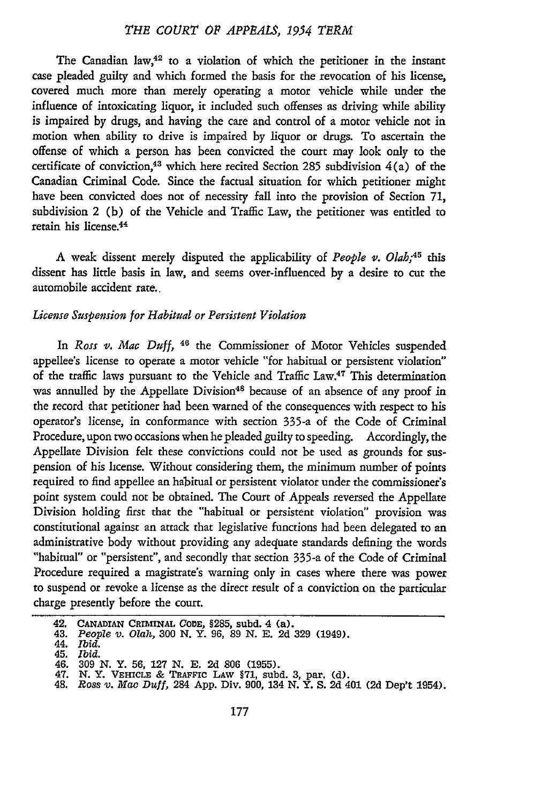The Canadian law, $42$  to a violation of which the petitioner in the instant case pleaded guilty and which formed the basis for the revocation of his license, covered much more than merely operating a motor vehicle while under the influence of intoxicating liquor, it included such offenses as driving while ability is impaired by drugs, and having the care and control of a motor vehicle not in motion when ability to drive is impaired by liquor or drugs. To ascertain the offense of which a person has been convicted the court may look only to the certificate of conviction, 43 which here recited Section **285** subdivision 4(a) of the Canadian Criminal Code. Since the factual situation for which petitioner might have been convicted does not of necessity fall into the provision of Section **71,** subdivision 2 (b) of the Vehicle and Traffic Law, the petitioner was entitled to retain his license. <sup>4</sup>

A weak dissent merely disputed the applicability of *People v. Olah;45* this dissent has little basis in law, and seems over-influenced by a desire to cut the automobile accident rate..

## *License Suspension for Habitual or Persistent Violation*

In Ross v. Mac Duff, <sup>46</sup> the Commissioner of Motor Vehicles suspended appellee's license to operate a motor vehicle "for habitual or persistent violation" of the traffic laws pursuant to the Vehicle and Traffic Law.<sup>47</sup> This determination was annulled by the Appellate Division<sup>48</sup> because of an absence of any proof in the record that petitioner had been warned of the consequences with respect to his operator's license, in conformance with section 335-a of the Code of Criminal Procedure, upon two occasions when he pleaded guilty to speeding. Accordingly, the Appellate Division felt these convictions could not be used as grounds for suspension of his license. Without considering them, the minimum number of points required to find appellee an habitual or persistent violator under the commissioner's point system could not be obtained. The Court of Appeals reversed the Appellate Division holding first that the "habitual or persistent violation" provision was constitutional against an attack that legislative functions had been delegated to an administrative body without providing any adequate standards defining the words "habitual" or "persistent", and secondly that section 335-a of the Code of Criminal Procedure required a magistrate's warning only in cases where there was power to suspend or revoke a license as the direct result of a conviction on the particular charge presently before the court.

**<sup>42.</sup> CANADIAN CRIMINAL CODE, §285,** subd. 4 (a).

**<sup>43.</sup>** *People v. Olah,* **300 N. Y. 96, 89 N. E. 2d 329 (1949).**

<sup>44.</sup> *Ibid.* 45. *Ibid.*

<sup>46.</sup> **309 N.** Y. **56, 127 N. E. 2d 806 (1955).**

<sup>47.</sup> **N.** Y. **VEHICLE & TRAFFIc LAW §71, subd. 3, par. (d).** 48. *Ross v. Mac Duff,* 284 **App.** Div. **900,** 134 **N.** Y. **S. 2d** 401 **(2d** Dep't 1954).